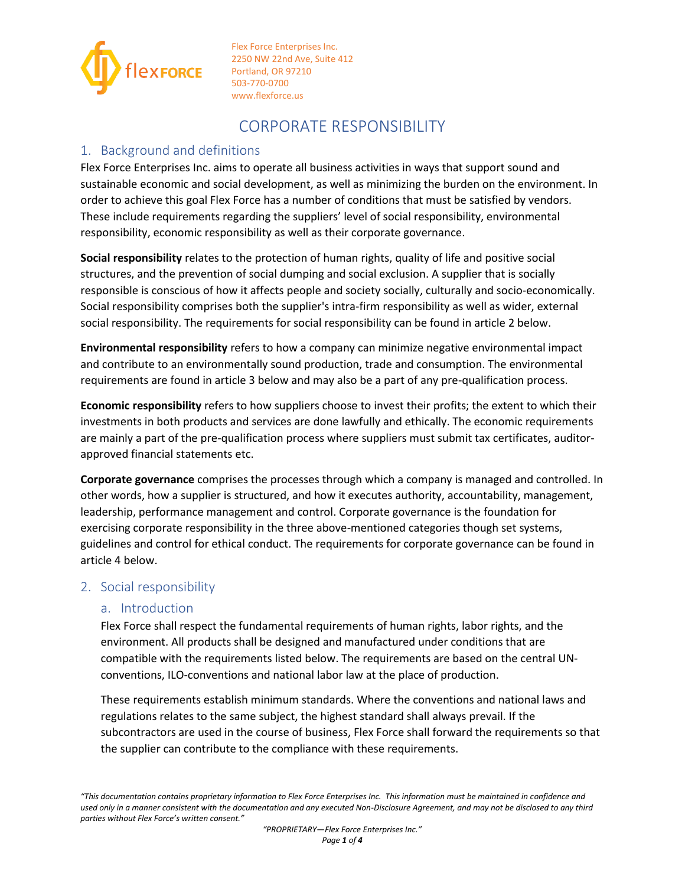

# CORPORATE RESPONSIBILITY

# 1. Background and definitions

Flex Force Enterprises Inc. aims to operate all business activities in ways that support sound and sustainable economic and social development, as well as minimizing the burden on the environment. In order to achieve this goal Flex Force has a number of conditions that must be satisfied by vendors. These include requirements regarding the suppliers' level of social responsibility, environmental responsibility, economic responsibility as well as their corporate governance.

**Social responsibility** relates to the protection of human rights, quality of life and positive social structures, and the prevention of social dumping and social exclusion. A supplier that is socially responsible is conscious of how it affects people and society socially, culturally and socio-economically. Social responsibility comprises both the supplier's intra-firm responsibility as well as wider, external social responsibility. The requirements for social responsibility can be found in article 2 below.

**Environmental responsibility** refers to how a company can minimize negative environmental impact and contribute to an environmentally sound production, trade and consumption. The environmental requirements are found in article 3 below and may also be a part of any pre-qualification process.

**Economic responsibility** refers to how suppliers choose to invest their profits; the extent to which their investments in both products and services are done lawfully and ethically. The economic requirements are mainly a part of the pre-qualification process where suppliers must submit tax certificates, auditorapproved financial statements etc.

**Corporate governance** comprises the processes through which a company is managed and controlled. In other words, how a supplier is structured, and how it executes authority, accountability, management, leadership, performance management and control. Corporate governance is the foundation for exercising corporate responsibility in the three above-mentioned categories though set systems, guidelines and control for ethical conduct. The requirements for corporate governance can be found in article 4 below.

# 2. Social responsibility

# a. Introduction

Flex Force shall respect the fundamental requirements of human rights, labor rights, and the environment. All products shall be designed and manufactured under conditions that are compatible with the requirements listed below. The requirements are based on the central UNconventions, ILO-conventions and national labor law at the place of production.

These requirements establish minimum standards. Where the conventions and national laws and regulations relates to the same subject, the highest standard shall always prevail. If the subcontractors are used in the course of business, Flex Force shall forward the requirements so that the supplier can contribute to the compliance with these requirements.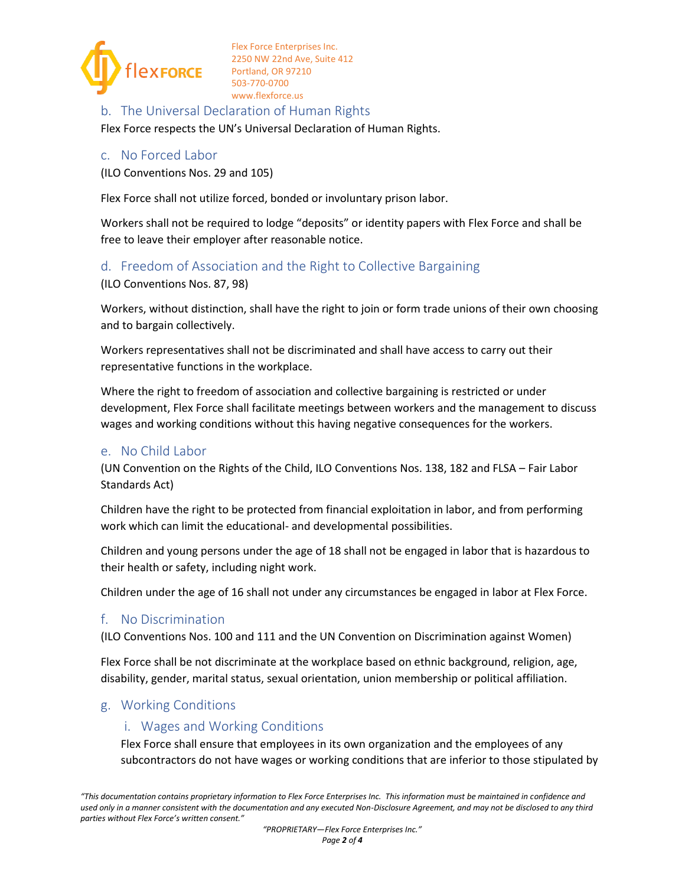

#### b. The Universal Declaration of Human Rights

Flex Force respects the UN's Universal Declaration of Human Rights.

#### c. No Forced Labor

(ILO Conventions Nos. 29 and 105)

Flex Force shall not utilize forced, bonded or involuntary prison labor.

Workers shall not be required to lodge "deposits" or identity papers with Flex Force and shall be free to leave their employer after reasonable notice.

#### d. Freedom of Association and the Right to Collective Bargaining

(ILO Conventions Nos. 87, 98)

Workers, without distinction, shall have the right to join or form trade unions of their own choosing and to bargain collectively.

Workers representatives shall not be discriminated and shall have access to carry out their representative functions in the workplace.

Where the right to freedom of association and collective bargaining is restricted or under development, Flex Force shall facilitate meetings between workers and the management to discuss wages and working conditions without this having negative consequences for the workers.

#### e. No Child Labor

(UN Convention on the Rights of the Child, ILO Conventions Nos. 138, 182 and FLSA – Fair Labor Standards Act)

Children have the right to be protected from financial exploitation in labor, and from performing work which can limit the educational- and developmental possibilities.

Children and young persons under the age of 18 shall not be engaged in labor that is hazardous to their health or safety, including night work.

Children under the age of 16 shall not under any circumstances be engaged in labor at Flex Force.

#### f. No Discrimination

(ILO Conventions Nos. 100 and 111 and the UN Convention on Discrimination against Women)

Flex Force shall be not discriminate at the workplace based on ethnic background, religion, age, disability, gender, marital status, sexual orientation, union membership or political affiliation.

#### g. Working Conditions

#### i. Wages and Working Conditions

Flex Force shall ensure that employees in its own organization and the employees of any subcontractors do not have wages or working conditions that are inferior to those stipulated by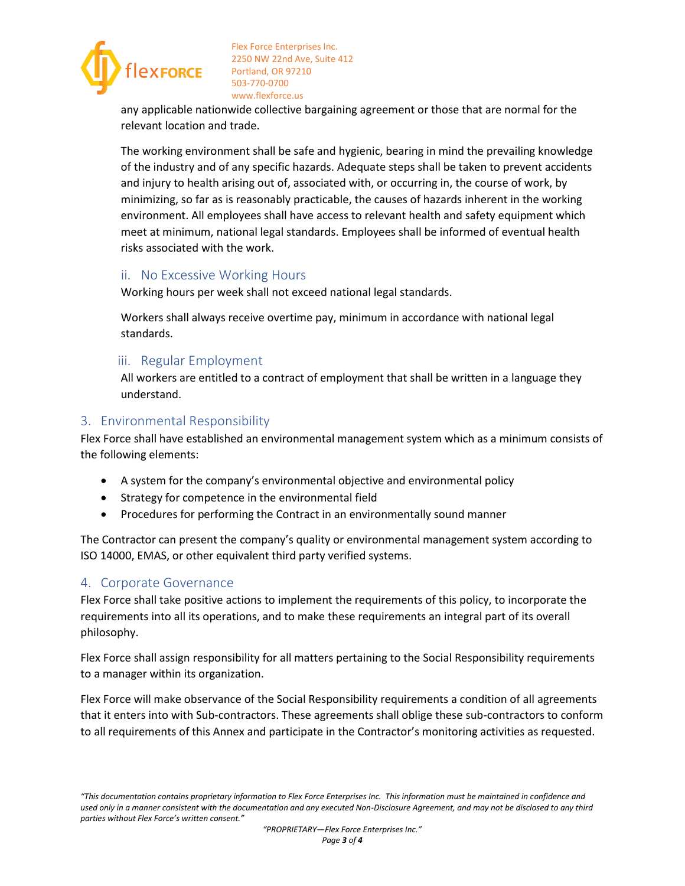

any applicable nationwide collective bargaining agreement or those that are normal for the relevant location and trade.

The working environment shall be safe and hygienic, bearing in mind the prevailing knowledge of the industry and of any specific hazards. Adequate steps shall be taken to prevent accidents and injury to health arising out of, associated with, or occurring in, the course of work, by minimizing, so far as is reasonably practicable, the causes of hazards inherent in the working environment. All employees shall have access to relevant health and safety equipment which meet at minimum, national legal standards. Employees shall be informed of eventual health risks associated with the work.

#### ii. No Excessive Working Hours

Working hours per week shall not exceed national legal standards.

Workers shall always receive overtime pay, minimum in accordance with national legal standards.

#### iii. Regular Employment

All workers are entitled to a contract of employment that shall be written in a language they understand.

#### 3. Environmental Responsibility

Flex Force shall have established an environmental management system which as a minimum consists of the following elements:

- A system for the company's environmental objective and environmental policy
- Strategy for competence in the environmental field
- Procedures for performing the Contract in an environmentally sound manner

The Contractor can present the company's quality or environmental management system according to ISO 14000, EMAS, or other equivalent third party verified systems.

# 4. Corporate Governance

Flex Force shall take positive actions to implement the requirements of this policy, to incorporate the requirements into all its operations, and to make these requirements an integral part of its overall philosophy.

Flex Force shall assign responsibility for all matters pertaining to the Social Responsibility requirements to a manager within its organization.

Flex Force will make observance of the Social Responsibility requirements a condition of all agreements that it enters into with Sub-contractors. These agreements shall oblige these sub-contractors to conform to all requirements of this Annex and participate in the Contractor's monitoring activities as requested.